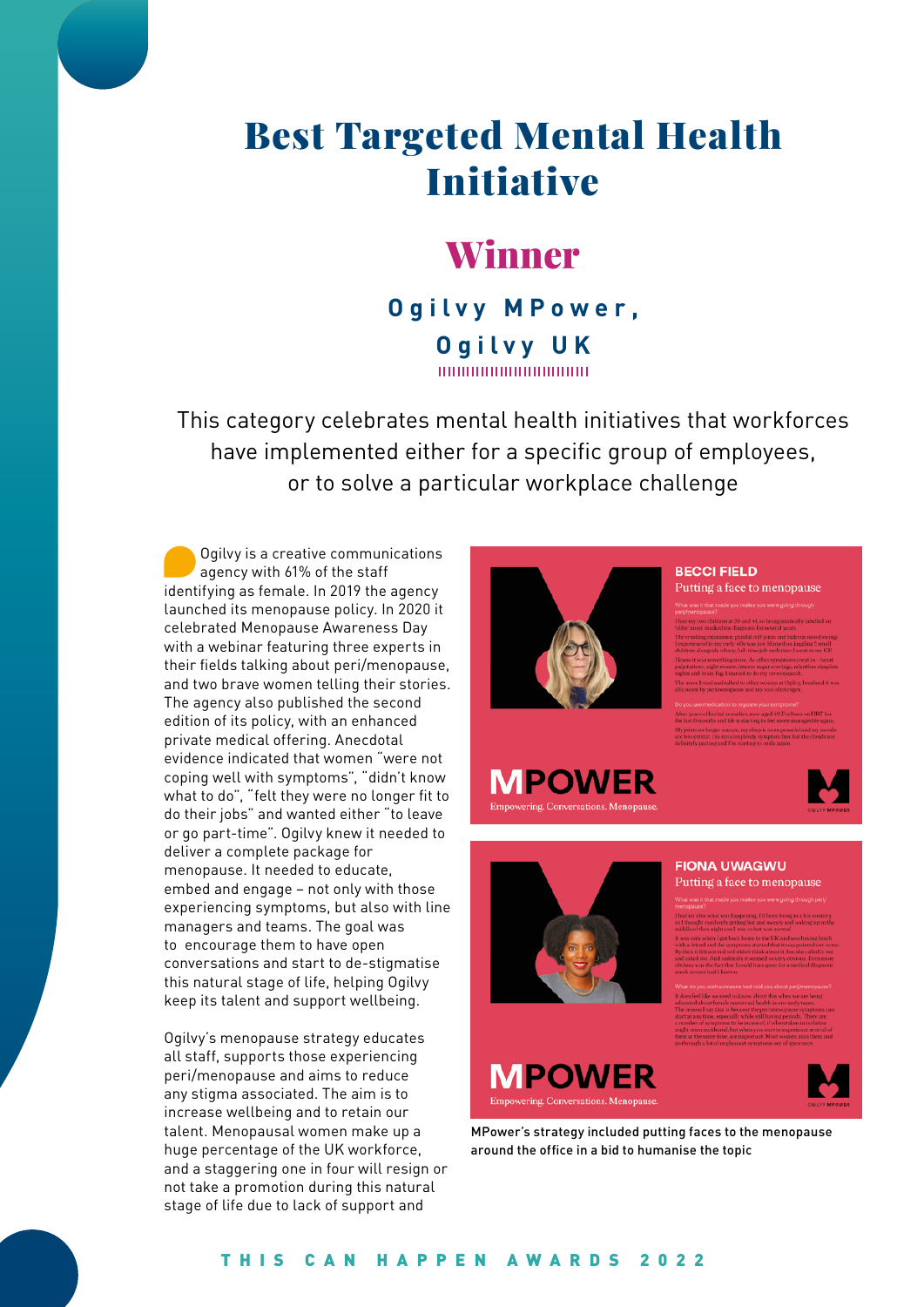# Best Targeted Mental Health Initiative

## Winner

### **Ogilvy MPower, Ogilvy UK**

This category celebrates mental health initiatives that workforces have implemented either for a specific group of employees, or to solve a particular workplace challenge

Ogilvy is a creative communications agency with 61% of the staff identifying as female. In 2019 the agency launched its menopause policy. In 2020 it celebrated Menopause Awareness Day with a webinar featuring three experts in their fields talking about peri/menopause, and two brave women telling their stories. The agency also published the second edition of its policy, with an enhanced private medical offering. Anecdotal evidence indicated that women "were not coping well with symptoms", "didn't know what to do", "felt they were no longer fit to do their jobs" and wanted either "to leave or go part-time". Ogilvy knew it needed to deliver a complete package for menopause. It needed to educate, embed and engage – not only with those experiencing symptoms, but also with line managers and teams. The goal was to encourage them to have open conversations and start to de-stigmatise this natural stage of life, helping Ogilvy keep its talent and support wellbeing.

Ogilvy's menopause strategy educates all staff, supports those experiencing peri/menopause and aims to reduce any stigma associated. The aim is to increase wellbeing and to retain our talent. Menopausal women make up a huge percentage of the UK workforce, and a staggering one in four will resign or not take a promotion during this natural stage of life due to lack of support and



**MPOWER** 

#### **BECCI FIELD**

Putting a face to menopause





#### **FIONA UWAGWU** Putting a face to menopause



MPower's strategy included putting faces to the menopause around the office in a bid to humanise the topic

#### THIS CAN HAPPEN AWARDS 2022